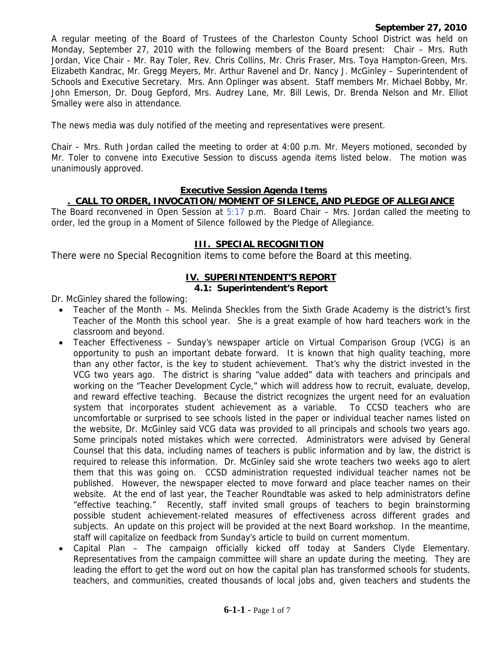#### **September 27, 2010**

A regular meeting of the Board of Trustees of the Charleston County School District was held on Monday, September 27, 2010 with the following members of the Board present: Chair – Mrs. Ruth Jordan, Vice Chair - Mr. Ray Toler, Rev. Chris Collins, Mr. Chris Fraser, Mrs. Toya Hampton-Green, Mrs. Elizabeth Kandrac, Mr. Gregg Meyers, Mr. Arthur Ravenel and Dr. Nancy J. McGinley – Superintendent of Schools and Executive Secretary. Mrs. Ann Oplinger was absent. Staff members Mr. Michael Bobby, Mr. John Emerson, Dr. Doug Gepford, Mrs. Audrey Lane, Mr. Bill Lewis, Dr. Brenda Nelson and Mr. Elliot Smalley were also in attendance.

The news media was duly notified of the meeting and representatives were present.

Chair – Mrs. Ruth Jordan called the meeting to order at 4:00 p.m. Mr. Meyers motioned, seconded by Mr. Toler to convene into Executive Session to discuss agenda items listed below. The motion was unanimously approved.

#### **Executive Session Agenda Items**

#### **. CALL TO ORDER, INVOCATION/MOMENT OF SILENCE, AND PLEDGE OF ALLEGIANCE**

The Board reconvened in Open Session at 5:17 p.m. Board Chair – Mrs. Jordan called the meeting to order, led the group in a Moment of Silence followed by the Pledge of Allegiance.

#### **III. SPECIAL RECOGNITION**

There were no Special Recognition items to come before the Board at this meeting.

## **IV. SUPERINTENDENT'S REPORT**

### **4.1: Superintendent's Report**

Dr. McGinley shared the following:

- Teacher of the Month Ms. Melinda Sheckles from the Sixth Grade Academy is the district's first Teacher of the Month this school year. She is a great example of how hard teachers work in the classroom and beyond.
- Teacher Effectiveness Sunday's newspaper article on Virtual Comparison Group (VCG) is an opportunity to push an important debate forward. It is known that high quality teaching, more than any other factor, is the key to student achievement. That's why the district invested in the VCG two years ago. The district is sharing "value added" data with teachers and principals and working on the "Teacher Development Cycle," which will address how to recruit, evaluate, develop, and reward effective teaching. Because the district recognizes the urgent need for an evaluation system that incorporates student achievement as a variable. To CCSD teachers who are uncomfortable or surprised to see schools listed in the paper or individual teacher names listed on the website, Dr. McGinley said VCG data was provided to all principals and schools two years ago. Some principals noted mistakes which were corrected. Administrators were advised by General Counsel that this data, including names of teachers is public information and by law, the district is required to release this information. Dr. McGinley said she wrote teachers two weeks ago to alert them that this was going on. CCSD administration requested individual teacher names not be published. However, the newspaper elected to move forward and place teacher names on their website. At the end of last year, the Teacher Roundtable was asked to help administrators define "effective teaching." Recently, staff invited small groups of teachers to begin brainstorming possible student achievement-related measures of effectiveness across different grades and subjects. An update on this project will be provided at the next Board workshop. In the meantime, staff will capitalize on feedback from Sunday's article to build on current momentum.
- Capital Plan The campaign officially kicked off today at Sanders Clyde Elementary. Representatives from the campaign committee will share an update during the meeting. They are leading the effort to get the word out on how the capital plan has transformed schools for students, teachers, and communities, created thousands of local jobs and, given teachers and students the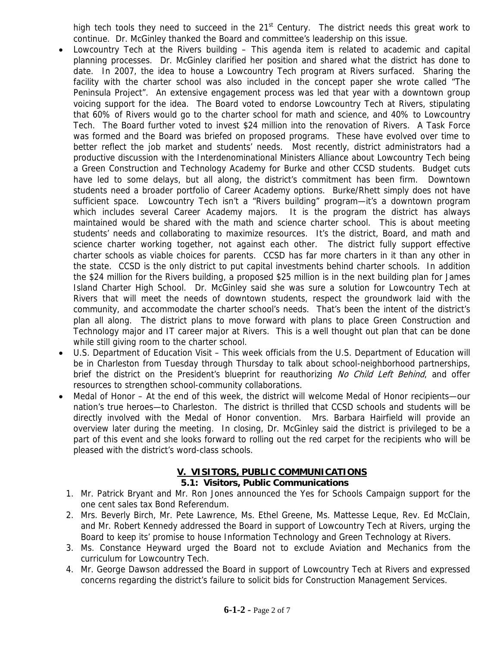high tech tools they need to succeed in the  $21<sup>st</sup>$  Century. The district needs this great work to continue. Dr. McGinley thanked the Board and committee's leadership on this issue.

- Lowcountry Tech at the Rivers building This agenda item is related to academic and capital planning processes. Dr. McGinley clarified her position and shared what the district has done to date. In 2007, the idea to house a Lowcountry Tech program at Rivers surfaced. Sharing the facility with the charter school was also included in the concept paper she wrote called "The Peninsula Project". An extensive engagement process was led that year with a downtown group voicing support for the idea. The Board voted to endorse Lowcountry Tech at Rivers, stipulating that 60% of Rivers would go to the charter school for math and science, and 40% to Lowcountry Tech. The Board further voted to invest \$24 million into the renovation of Rivers. A Task Force was formed and the Board was briefed on proposed programs. These have evolved over time to better reflect the job market and students' needs. Most recently, district administrators had a productive discussion with the Interdenominational Ministers Alliance about Lowcountry Tech being a Green Construction and Technology Academy for Burke and other CCSD students. Budget cuts have led to some delays, but all along, the district's commitment has been firm. Downtown students need a broader portfolio of Career Academy options. Burke/Rhett simply does not have sufficient space. Lowcountry Tech isn't a "Rivers building" program—it's a downtown program which includes several Career Academy majors. It is the program the district has always maintained would be shared with the math and science charter school. This is about meeting students' needs and collaborating to maximize resources. It's the district, Board, and math and science charter working together, not against each other. The district fully support effective charter schools as viable choices for parents. CCSD has far more charters in it than any other in the state. CCSD is the only district to put capital investments behind charter schools. In addition the \$24 million for the Rivers building, a proposed \$25 million is in the next building plan for James Island Charter High School. Dr. McGinley said she was sure a solution for Lowcountry Tech at Rivers that will meet the needs of downtown students, respect the groundwork laid with the community, and accommodate the charter school's needs. That's been the intent of the district's plan all along. The district plans to move forward with plans to place Green Construction and Technology major and IT career major at Rivers. This is a well thought out plan that can be done while still giving room to the charter school.
- U.S. Department of Education Visit This week officials from the U.S. Department of Education will be in Charleston from Tuesday through Thursday to talk about school-neighborhood partnerships, brief the district on the President's blueprint for reauthorizing No Child Left Behind, and offer resources to strengthen school-community collaborations.
- Medal of Honor At the end of this week, the district will welcome Medal of Honor recipients—our nation's true heroes—to Charleston. The district is thrilled that CCSD schools and students will be directly involved with the Medal of Honor convention. Mrs. Barbara Hairfield will provide an overview later during the meeting. In closing, Dr. McGinley said the district is privileged to be a part of this event and she looks forward to rolling out the red carpet for the recipients who will be pleased with the district's word-class schools.

# **V. VISITORS, PUBLIC COMMUNICATIONS**

### **5.1: Visitors, Public Communications**

- 1. Mr. Patrick Bryant and Mr. Ron Jones announced the Yes for Schools Campaign support for the one cent sales tax Bond Referendum.
- 2. Mrs. Beverly Birch, Mr. Pete Lawrence, Ms. Ethel Greene, Ms. Mattesse Leque, Rev. Ed McClain, and Mr. Robert Kennedy addressed the Board in support of Lowcountry Tech at Rivers, urging the Board to keep its' promise to house Information Technology and Green Technology at Rivers.
- 3. Ms. Constance Heyward urged the Board not to exclude Aviation and Mechanics from the curriculum for Lowcountry Tech.
- 4. Mr. George Dawson addressed the Board in support of Lowcountry Tech at Rivers and expressed concerns regarding the district's failure to solicit bids for Construction Management Services.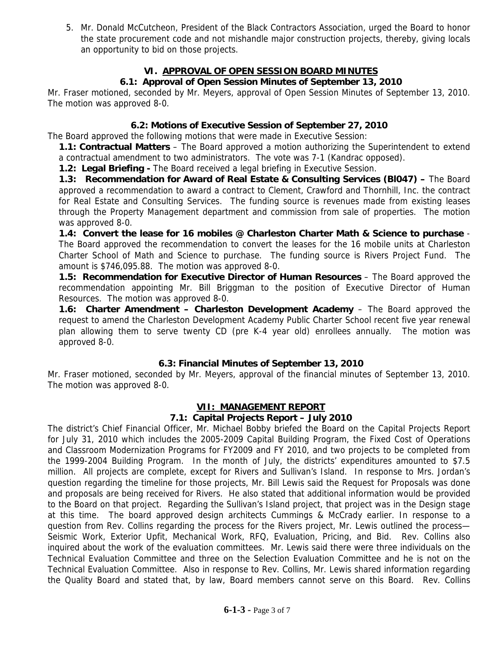5. Mr. Donald McCutcheon, President of the Black Contractors Association, urged the Board to honor the state procurement code and not mishandle major construction projects, thereby, giving locals an opportunity to bid on those projects.

## **VI. APPROVAL OF OPEN SESSION BOARD MINUTES**

## **6.1: Approval of Open Session Minutes of September 13, 2010**

Mr. Fraser motioned, seconded by Mr. Meyers, approval of Open Session Minutes of September 13, 2010. The motion was approved 8-0.

### **6.2: Motions of Executive Session of September 27, 2010**

The Board approved the following motions that were made in Executive Session:

**1.1: Contractual Matters** – The Board approved a motion authorizing the Superintendent to extend a contractual amendment to two administrators. The vote was 7-1 (Kandrac opposed).

**1.2: Legal Briefing - The Board received a legal briefing in Executive Session.** 

**1.3: Recommendation for Award of Real Estate & Consulting Services (Bl047) –** The Board approved a recommendation to award a contract to Clement, Crawford and Thornhill, Inc. the contract for Real Estate and Consulting Services. The funding source is revenues made from existing leases through the Property Management department and commission from sale of properties. The motion was approved 8-0.

**1.4: Convert the lease for 16 mobiles @ Charleston Charter Math & Science to purchase** - The Board approved the recommendation to convert the leases for the 16 mobile units at Charleston Charter School of Math and Science to purchase. The funding source is Rivers Project Fund. The amount is \$746,095.88. The motion was approved 8-0.

**1.5: Recommendation for Executive Director of Human Resources – The Board approved the** recommendation appointing Mr. Bill Briggman to the position of Executive Director of Human Resources. The motion was approved 8-0.

**1.6: Charter Amendment - Charleston Development Academy** - The Board approved the request to amend the Charleston Development Academy Public Charter School recent five year renewal plan allowing them to serve twenty CD (pre K-4 year old) enrollees annually. The motion was approved 8-0.

### **6.3: Financial Minutes of September 13, 2010**

Mr. Fraser motioned, seconded by Mr. Meyers, approval of the financial minutes of September 13, 2010. The motion was approved 8-0.

### **VII: MANAGEMENT REPORT**

#### **7.1: Capital Projects Report – July 2010**

The district's Chief Financial Officer, Mr. Michael Bobby briefed the Board on the Capital Projects Report for July 31, 2010 which includes the 2005-2009 Capital Building Program, the Fixed Cost of Operations and Classroom Modernization Programs for FY2009 and FY 2010, and two projects to be completed from the 1999-2004 Building Program. In the month of July, the districts' expenditures amounted to \$7.5 million. All projects are complete, except for Rivers and Sullivan's Island. In response to Mrs. Jordan's question regarding the timeline for those projects, Mr. Bill Lewis said the Request for Proposals was done and proposals are being received for Rivers. He also stated that additional information would be provided to the Board on that project. Regarding the Sullivan's Island project, that project was in the Design stage at this time. The board approved design architects Cummings & McCrady earlier. In response to a question from Rev. Collins regarding the process for the Rivers project, Mr. Lewis outlined the process— Seismic Work, Exterior Upfit, Mechanical Work, RFQ, Evaluation, Pricing, and Bid. Rev. Collins also inquired about the work of the evaluation committees. Mr. Lewis said there were three individuals on the Technical Evaluation Committee and three on the Selection Evaluation Committee and he is not on the Technical Evaluation Committee. Also in response to Rev. Collins, Mr. Lewis shared information regarding the Quality Board and stated that, by law, Board members cannot serve on this Board. Rev. Collins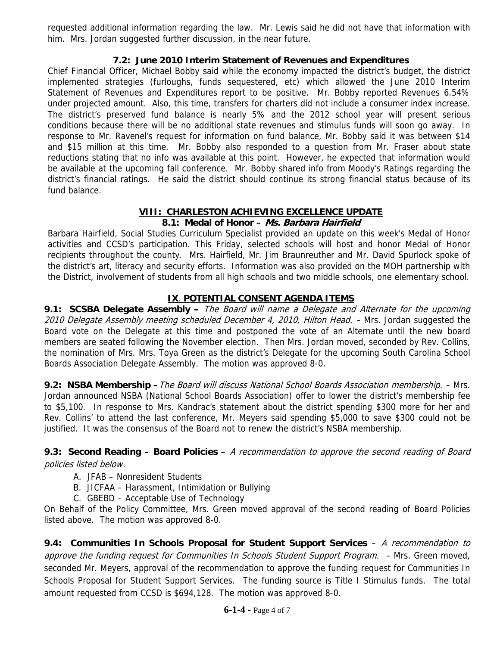requested additional information regarding the law. Mr. Lewis said he did not have that information with him. Mrs. Jordan suggested further discussion, in the near future.

## **7.2: June 2010 Interim Statement of Revenues and Expenditures**

Chief Financial Officer, Michael Bobby said while the economy impacted the district's budget, the district implemented strategies (furloughs, funds sequestered, etc) which allowed the June 2010 Interim Statement of Revenues and Expenditures report to be positive. Mr. Bobby reported Revenues 6.54% under projected amount. Also, this time, transfers for charters did not include a consumer index increase. The district's preserved fund balance is nearly 5% and the 2012 school year will present serious conditions because there will be no additional state revenues and stimulus funds will soon go away. In response to Mr. Ravenel's request for information on fund balance, Mr. Bobby said it was between \$14 and \$15 million at this time. Mr. Bobby also responded to a question from Mr. Fraser about state reductions stating that no info was available at this point. However, he expected that information would be available at the upcoming fall conference. Mr. Bobby shared info from Moody's Ratings regarding the district's financial ratings. He said the district should continue its strong financial status because of its fund balance.

## **VIII: CHARLESTON ACHIEVING EXCELLENCE UPDATE**

### **8.1: Medal of Honor – Ms. Barbara Hairfield**

Barbara Hairfield, Social Studies Curriculum Specialist provided an update on this week's Medal of Honor activities and CCSD's participation. This Friday, selected schools will host and honor Medal of Honor recipients throughout the county. Mrs. Hairfield, Mr. Jim Braunreuther and Mr. David Spurlock spoke of the district's art, literacy and security efforts. Information was also provided on the MOH partnership with the District, involvement of students from all high schools and two middle schools, one elementary school.

## **IX**. **POTENTIAL CONSENT AGENDA ITEMS**

**9.1: SCSBA Delegate Assembly –** The Board will name a Delegate and Alternate for the upcoming 2010 Delegate Assembly meeting scheduled December 4, 2010, Hilton Head. - Mrs. Jordan suggested the Board vote on the Delegate at this time and postponed the vote of an Alternate until the new board members are seated following the November election. Then Mrs. Jordan moved, seconded by Rev. Collins, the nomination of Mrs. Mrs. Toya Green as the district's Delegate for the upcoming South Carolina School Boards Association Delegate Assembly. The motion was approved 8-0.

**9.2: NSBA Membership –**The Board will discuss National School Boards Association membership. – Mrs. Jordan announced NSBA (National School Boards Association) offer to lower the district's membership fee to \$5,100. In response to Mrs. Kandrac's statement about the district spending \$300 more for her and Rev. Collins' to attend the last conference, Mr. Meyers said spending \$5,000 to save \$300 could not be justified. It was the consensus of the Board not to renew the district's NSBA membership.

#### **9.3: Second Reading – Board Policies –** A recommendation to approve the second reading of Board policies listed below.

### A. JFAB – Nonresident Students

- B. JICFAA Harassment, Intimidation or Bullying
- C. GBEBD Acceptable Use of Technology

On Behalf of the Policy Committee, Mrs. Green moved approval of the second reading of Board Policies listed above. The motion was approved 8-0.

**9.4: Communities In Schools Proposal for Student Support Services** – A recommendation to approve the funding request for Communities In Schools Student Support Program. - Mrs. Green moved, seconded Mr. Meyers, approval of the recommendation to approve the funding request for Communities In Schools Proposal for Student Support Services. The funding source is Title I Stimulus funds. The total amount requested from CCSD is \$694,128. The motion was approved 8-0.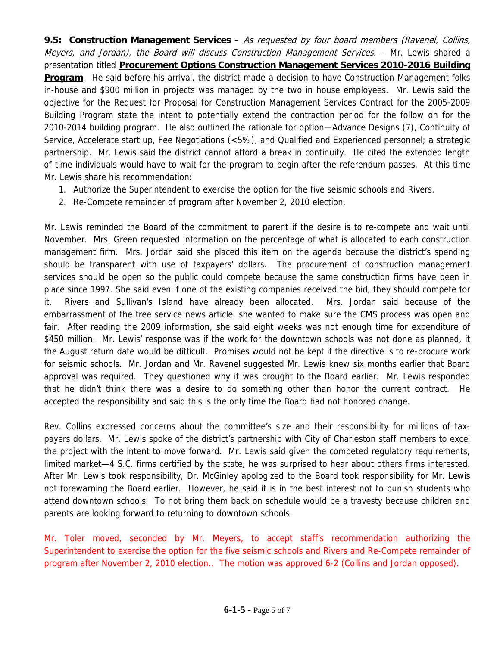**9.5: Construction Management Services** – As requested by four board members (Ravenel, Collins, Meyers, and Jordan), the Board will discuss Construction Management Services. - Mr. Lewis shared a presentation titled **Procurement Options Construction Management Services 2010-2016 Building Program**. He said before his arrival, the district made a decision to have Construction Management folks in-house and \$900 million in projects was managed by the two in house employees. Mr. Lewis said the objective for the Request for Proposal for Construction Management Services Contract for the 2005-2009 Building Program state the intent to potentially extend the contraction period for the follow on for the 2010-2014 building program. He also outlined the rationale for option—Advance Designs (7), Continuity of Service, Accelerate start up, Fee Negotiations (<5%), and Qualified and Experienced personnel; a strategic partnership. Mr. Lewis said the district cannot afford a break in continuity. He cited the extended length of time individuals would have to wait for the program to begin after the referendum passes. At this time Mr. Lewis share his recommendation:

- 1. Authorize the Superintendent to exercise the option for the five seismic schools and Rivers.
- 2. Re-Compete remainder of program after November 2, 2010 election.

Mr. Lewis reminded the Board of the commitment to parent if the desire is to re-compete and wait until November. Mrs. Green requested information on the percentage of what is allocated to each construction management firm. Mrs. Jordan said she placed this item on the agenda because the district's spending should be transparent with use of taxpayers' dollars. The procurement of construction management services should be open so the public could compete because the same construction firms have been in place since 1997. She said even if one of the existing companies received the bid, they should compete for it. Rivers and Sullivan's Island have already been allocated. Mrs. Jordan said because of the embarrassment of the tree service news article, she wanted to make sure the CMS process was open and fair. After reading the 2009 information, she said eight weeks was not enough time for expenditure of \$450 million. Mr. Lewis' response was if the work for the downtown schools was not done as planned, it the August return date would be difficult. Promises would not be kept if the directive is to re-procure work for seismic schools. Mr. Jordan and Mr. Ravenel suggested Mr. Lewis knew six months earlier that Board approval was required. They questioned why it was brought to the Board earlier. Mr. Lewis responded that he didn't think there was a desire to do something other than honor the current contract. He accepted the responsibility and said this is the only time the Board had not honored change.

Rev. Collins expressed concerns about the committee's size and their responsibility for millions of taxpayers dollars. Mr. Lewis spoke of the district's partnership with City of Charleston staff members to excel the project with the intent to move forward. Mr. Lewis said given the competed regulatory requirements, limited market—4 S.C. firms certified by the state, he was surprised to hear about others firms interested. After Mr. Lewis took responsibility, Dr. McGinley apologized to the Board took responsibility for Mr. Lewis not forewarning the Board earlier. However, he said it is in the best interest not to punish students who attend downtown schools. To not bring them back on schedule would be a travesty because children and parents are looking forward to returning to downtown schools.

Mr. Toler moved, seconded by Mr. Meyers, to accept staff's recommendation authorizing the Superintendent to exercise the option for the five seismic schools and Rivers and Re-Compete remainder of program after November 2, 2010 election.. The motion was approved 6-2 (Collins and Jordan opposed).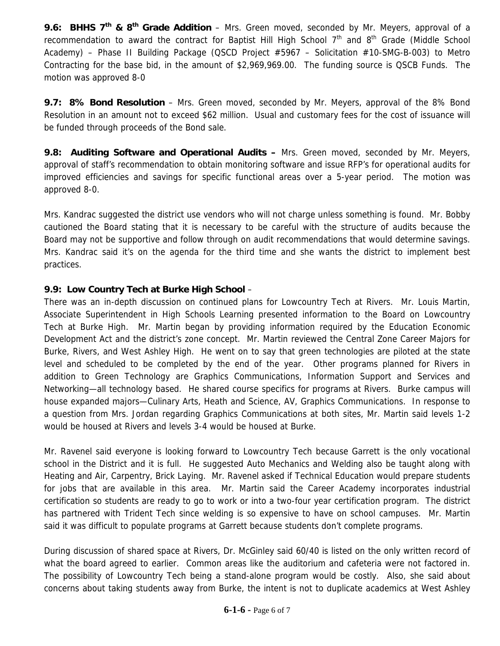**9.6: BHHS 7th & 8th Grade Addition** – Mrs. Green moved, seconded by Mr. Meyers, approval of a recommendation to award the contract for Baptist Hill High School  $7<sup>th</sup>$  and  $8<sup>th</sup>$  Grade (Middle School Academy) – Phase II Building Package (QSCD Project #5967 – Solicitation #10-SMG-B-003) to Metro Contracting for the base bid, in the amount of \$2,969,969.00. The funding source is QSCB Funds. The motion was approved 8-0

**9.7: 8% Bond Resolution** – Mrs. Green moved, seconded by Mr. Meyers, approval of the 8% Bond Resolution in an amount not to exceed \$62 million. Usual and customary fees for the cost of issuance will be funded through proceeds of the Bond sale.

**9.8: Auditing Software and Operational Audits –** Mrs. Green moved, seconded by Mr. Meyers, approval of staff's recommendation to obtain monitoring software and issue RFP's for operational audits for improved efficiencies and savings for specific functional areas over a 5-year period. The motion was approved 8-0.

Mrs. Kandrac suggested the district use vendors who will not charge unless something is found. Mr. Bobby cautioned the Board stating that it is necessary to be careful with the structure of audits because the Board may not be supportive and follow through on audit recommendations that would determine savings. Mrs. Kandrac said it's on the agenda for the third time and she wants the district to implement best practices.

## **9.9: Low Country Tech at Burke High School** –

There was an in-depth discussion on continued plans for Lowcountry Tech at Rivers. Mr. Louis Martin, Associate Superintendent in High Schools Learning presented information to the Board on Lowcountry Tech at Burke High. Mr. Martin began by providing information required by the Education Economic Development Act and the district's zone concept. Mr. Martin reviewed the Central Zone Career Majors for Burke, Rivers, and West Ashley High. He went on to say that green technologies are piloted at the state level and scheduled to be completed by the end of the year. Other programs planned for Rivers in addition to Green Technology are Graphics Communications, Information Support and Services and Networking—all technology based. He shared course specifics for programs at Rivers. Burke campus will house expanded majors—Culinary Arts, Heath and Science, AV, Graphics Communications. In response to a question from Mrs. Jordan regarding Graphics Communications at both sites, Mr. Martin said levels 1-2 would be housed at Rivers and levels 3-4 would be housed at Burke.

Mr. Ravenel said everyone is looking forward to Lowcountry Tech because Garrett is the only vocational school in the District and it is full. He suggested Auto Mechanics and Welding also be taught along with Heating and Air, Carpentry, Brick Laying. Mr. Ravenel asked if Technical Education would prepare students for jobs that are available in this area. Mr. Martin said the Career Academy incorporates industrial certification so students are ready to go to work or into a two-four year certification program. The district has partnered with Trident Tech since welding is so expensive to have on school campuses. Mr. Martin said it was difficult to populate programs at Garrett because students don't complete programs.

During discussion of shared space at Rivers, Dr. McGinley said 60/40 is listed on the only written record of what the board agreed to earlier. Common areas like the auditorium and cafeteria were not factored in. The possibility of Lowcountry Tech being a stand-alone program would be costly. Also, she said about concerns about taking students away from Burke, the intent is not to duplicate academics at West Ashley